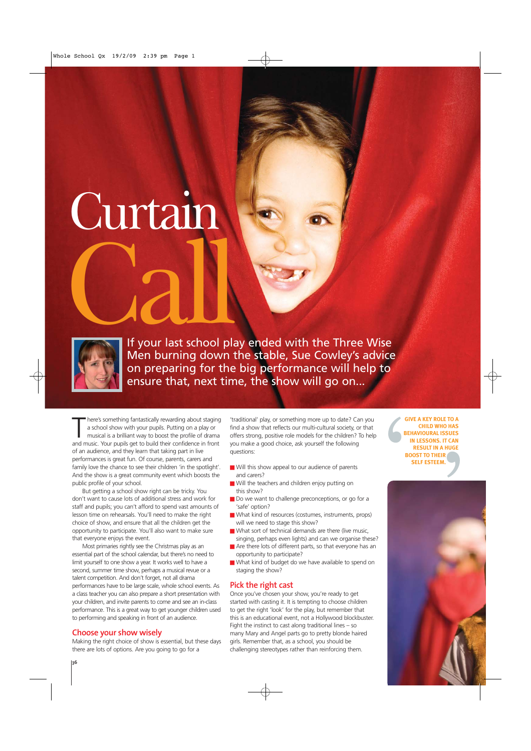# Curtain



**Call** If your last school play ended with the Three Wise Men burning down the stable, Sue Cowley's advice on preparing for the big performance will help to ensure that, next time, the show will go on...

There's something fantastically rewarding about staging a school show with your pupils. Putting on a play or musical is a brilliant way to boost the profile of drama and music. Your pupils get to build their confidence in here's something fantastically rewarding about staging a school show with your pupils. Putting on a play or musical is a brilliant way to boost the profile of drama of an audience, and they learn that taking part in live performances is great fun. Of course, parents, carers and family love the chance to see their children 'in the spotlight'. And the show is a great community event which boosts the public profile of your school.

But getting a school show right can be tricky. You don't want to cause lots of additional stress and work for staff and pupils; you can't afford to spend vast amounts of lesson time on rehearsals. You'll need to make the right choice of show, and ensure that all the children get the opportunity to participate. You'll also want to make sure that everyone enjoys the event.

Most primaries rightly see the Christmas play as an essential part of the school calendar, but there's no need to limit yourself to one show a year. It works well to have a second, summer time show, perhaps a musical revue or a talent competition. And don't forget, not all drama performances have to be large scale, whole school events. As a class teacher you can also prepare a short presentation with your children, and invite parents to come and see an in-class performance. This is a great way to get younger children used to performing and speaking in front of an audience.

**Choose your show wisely** Making the right choice of show is essential, but these days there are lots of options. Are you going to go for a

'traditional' play, or something more up to date? Can you find a show that reflects our multi-cultural society, or that offers strong, positive role models for the children? To help you make a good choice, ask yourself the following questions:

- Will this show appeal to our audience of parents and carers?
- Will the teachers and children enjoy putting on this show?
- Do we want to challenge preconceptions, or go for a 'safe' option?
- What kind of resources (costumes, instruments, props) will we need to stage this show?
- What sort of technical demands are there (live music, singing, perhaps even lights) and can we organise these?
- Are there lots of different parts, so that everyone has an opportunity to participate?
- What kind of budget do we have available to spend on staging the show?

**Pick the right cast** Once you've chosen your show, you're ready to get started with casting it. It is tempting to choose children to get the right 'look' for the play, but remember that this is an educational event, not a Hollywood blockbuster. Fight the instinct to cast along traditional lines – so many Mary and Angel parts go to pretty blonde haired girls. Remember that, as a school, you should be challenging stereotypes rather than reinforcing them.

**GIVE A KEY ROLE TO A CHILD WHO HAS BEHAVIOURAL ISSUES IN LESSONS. IT CAN RESULT IN A HUGE BOOST TO THEIR SELF ESTEEM.** TO A<br>TO A<br>SUES<br>CAN<br>HUGE